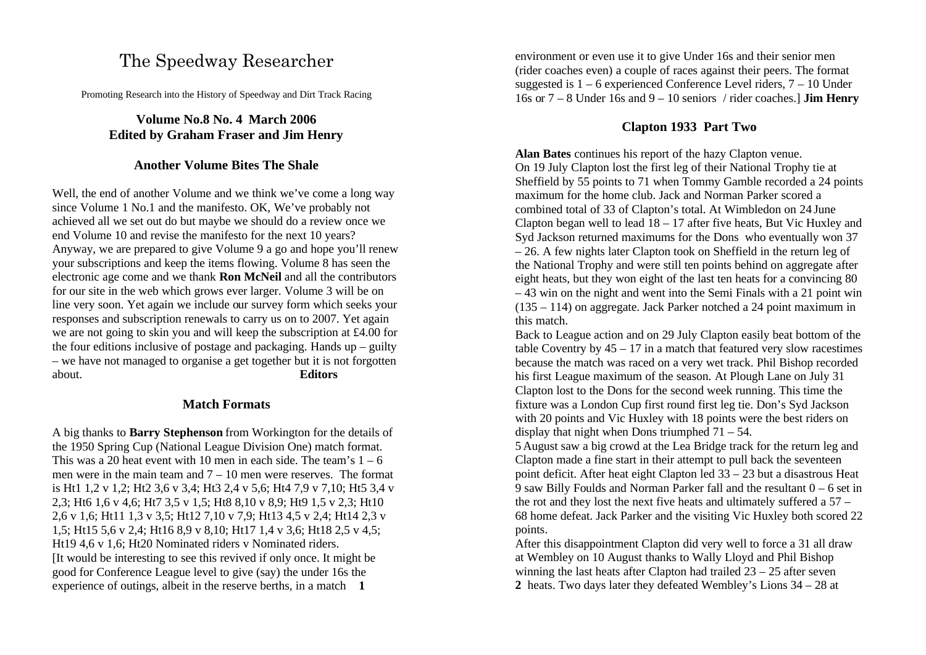# The Speedway Researcher

Promoting Research into the History of Speedway and Dirt Track Racing

# **Volume No.8 No. 4 March 2006 Edited by Graham Fraser and Jim Henry**

# **Another Volume Bites The Shale**

Well, the end of another Volume and we think we've come a long way since Volume 1 No.1 and the manifesto. OK, We've probably not achieved all we set out do but maybe we should do a review once we end Volume 10 and revise the manifesto for the next 10 years? Anyway, we are prepared to give Volume 9 a go and hope you'll renew your subscriptions and keep the items flowing. Volume 8 has seen the electronic age come and we thank **Ron McNeil** and all the contributors for our site in the web which grows ever larger. Volume 3 will be on line very soon. Yet again we include our survey form which seeks your responses and subscription renewals to carry us on to 2007. Yet again we are not going to skin you and will keep the subscription at £4.00 for the four editions inclusive of postage and packaging. Hands up – guilty – we have not managed to organise a get together but it is not forgotten about. **Editors**

### **Match Formats**

A big thanks to **Barry Stephenson** from Workington for the details of the 1950 Spring Cup (National League Division One) match format. This was a 20 heat event with 10 men in each side. The team's  $1 - 6$ men were in the main team and  $7 - 10$  men were reserves. The format is Ht1 1,2 v 1,2; Ht2 3,6 v 3,4; Ht3 2,4 v 5,6; Ht4 7,9 v 7,10; Ht5 3,4 v 2,3; Ht6 1,6 v 4,6; Ht7 3,5 v 1,5; Ht8 8,10 v 8,9; Ht9 1,5 v 2,3; Ht10 2,6 v 1,6; Ht11 1,3 v 3,5; Ht12 7,10 v 7,9; Ht13 4,5 v 2,4; Ht14 2,3 v 1,5; Ht15 5,6 v 2,4; Ht16 8,9 v 8,10; Ht17 1,4 v 3,6; Ht18 2,5 v 4,5; Ht19 4,6 v 1,6; Ht20 Nominated riders v Nominated riders. [It would be interesting to see this revived if only once. It might be good for Conference League level to give (say) the under 16s the experience of outings, albeit in the reserve berths, in a match **1** 

environment or even use it to give Under 16s and their senior men (rider coaches even) a couple of races against their peers. The format suggested is  $1 - 6$  experienced Conference Level riders,  $7 - 10$  Under 16s or 7 – 8 Under 16s and 9 – 10 seniors / rider coaches.] **Jim Henry**

# **Clapton 1933 Part Two**

**Alan Bates** continues his report of the hazy Clapton venue. On 19 July Clapton lost the first leg of their National Trophy tie at Sheffield by 55 points to 71 when Tommy Gamble recorded a 24 points maximum for the home club. Jack and Norman Parker scored a combined total of 33 of Clapton's total. At Wimbledon on 24 June Clapton began well to lead  $18 - 17$  after five heats, But Vic Huxley and Syd Jackson returned maximums for the Dons who eventually won 37 – 26. A few nights later Clapton took on Sheffield in the return leg of the National Trophy and were still ten points behind on aggregate after eight heats, but they won eight of the last ten heats for a convincing 80 – 43 win on the night and went into the Semi Finals with a 21 point win (135 – 114) on aggregate. Jack Parker notched a 24 point maximum in this match.

Back to League action and on 29 July Clapton easily beat bottom of the table Coventry by  $45 - 17$  in a match that featured very slow racestimes because the match was raced on a very wet track. Phil Bishop recorded his first League maximum of the season. At Plough Lane on July 31 Clapton lost to the Dons for the second week running. This time the fixture was a London Cup first round first leg tie. Don's Syd Jackson with 20 points and Vic Huxley with 18 points were the best riders on display that night when Dons triumphed  $71 - 54$ .

5 August saw a big crowd at the Lea Bridge track for the return leg and Clapton made a fine start in their attempt to pull back the seventeen point deficit. After heat eight Clapton led 33 – 23 but a disastrous Heat 9 saw Billy Foulds and Norman Parker fall and the resultant 0 – 6 set in the rot and they lost the next five heats and ultimately suffered a 57 – 68 home defeat. Jack Parker and the visiting Vic Huxley both scored 22 points.

After this disappointment Clapton did very well to force a 31 all draw at Wembley on 10 August thanks to Wally Lloyd and Phil Bishop winning the last heats after Clapton had trailed 23 – 25 after seven **2** heats. Two days later they defeated Wembley's Lions 34 – 28 at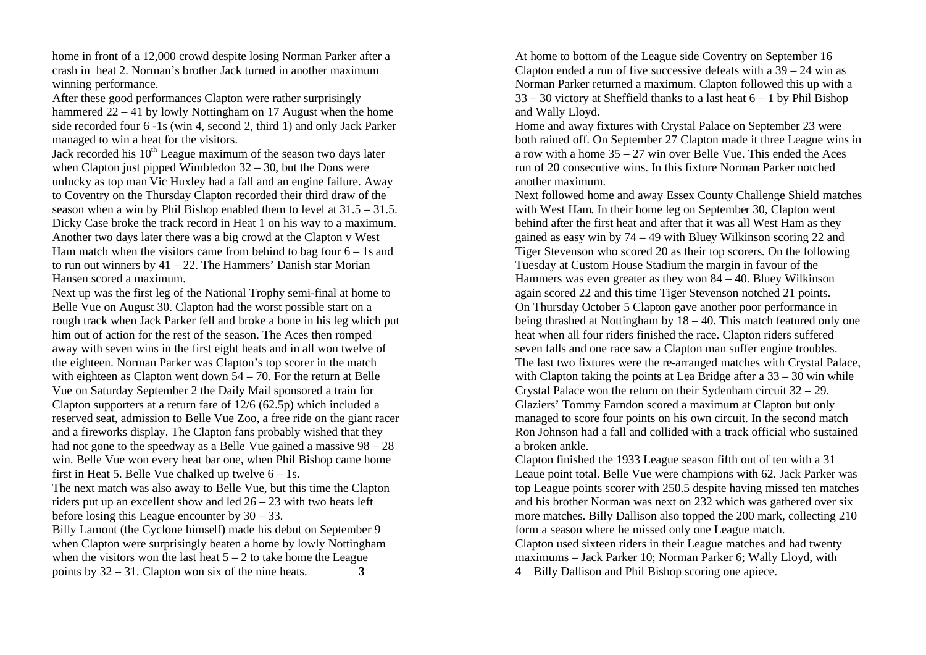home in front of a 12,000 crowd despite losing Norman Parker after a crash in heat 2. Norman's brother Jack turned in another maximum winning performance.

After these good performances Clapton were rather surprisingly hammered  $22 - 41$  by lowly Nottingham on 17 August when the home side recorded four 6 -1s (win 4, second 2, third 1) and only Jack Parker managed to win a heat for the visitors.

Jack recorded his  $10<sup>th</sup>$  League maximum of the season two days later when Clapton just pipped Wimbledon  $32 - 30$ , but the Dons were unlucky as top man Vic Huxley had a fall and an engine failure. Away to Coventry on the Thursday Clapton recorded their third draw of the season when a win by Phil Bishop enabled them to level at 31.5 – 31.5. Dicky Case broke the track record in Heat 1 on his way to a maximum. Another two days later there was a big crowd at the Clapton v West Ham match when the visitors came from behind to bag four  $6 - 1s$  and to run out winners by  $41 - 22$ . The Hammers' Danish star Morian Hansen scored a maximum.

Next up was the first leg of the National Trophy semi-final at home to Belle Vue on August 30. Clapton had the worst possible start on a rough track when Jack Parker fell and broke a bone in his leg which put him out of action for the rest of the season. The Aces then romped away with seven wins in the first eight heats and in all won twelve of the eighteen. Norman Parker was Clapton's top scorer in the match with eighteen as Clapton went down 54 – 70. For the return at Belle Vue on Saturday September 2 the Daily Mail sponsored a train for Clapton supporters at a return fare of 12/6 (62.5p) which included a reserved seat, admission to Belle Vue Zoo, a free ride on the giant racer and a fireworks display. The Clapton fans probably wished that they had not gone to the speedway as a Belle Vue gained a massive  $98 - 28$ win. Belle Vue won every heat bar one, when Phil Bishop came home first in Heat 5. Belle Vue chalked up twelve  $6 - 1$ s.

The next match was also away to Belle Vue, but this time the Clapton riders put up an excellent show and led 26 – 23 with two heats left before losing this League encounter by 30 – 33.

Billy Lamont (the Cyclone himself) made his debut on September 9 when Clapton were surprisingly beaten a home by lowly Nottingham when the visitors won the last heat  $5 - 2$  to take home the League points by 32 – 31. Clapton won six of the nine heats. **3**

At home to bottom of the League side Coventry on September 16 Clapton ended a run of five successive defeats with a  $39 - 24$  win as Norman Parker returned a maximum. Clapton followed this up with a  $33 - 30$  victory at Sheffield thanks to a last heat  $6 - 1$  by Phil Bishop and Wally Lloyd.

Home and away fixtures with Crystal Palace on September 23 were both rained off. On September 27 Clapton made it three League wins in a row with a home 35 – 27 win over Belle Vue. This ended the Aces run of 20 consecutive wins. In this fixture Norman Parker notched another maximum.

Next followed home and away Essex County Challenge Shield matches with West Ham. In their home leg on September 30, Clapton went behind after the first heat and after that it was all West Ham as they gained as easy win by 74 – 49 with Bluey Wilkinson scoring 22 and Tiger Stevenson who scored 20 as their top scorers. On the following Tuesday at Custom House Stadium the margin in favour of the Hammers was even greater as they won 84 – 40. Bluey Wilkinson again scored 22 and this time Tiger Stevenson notched 21 points. On Thursday October 5 Clapton gave another poor performance in being thrashed at Nottingham by 18 – 40. This match featured only one heat when all four riders finished the race. Clapton riders suffered seven falls and one race saw a Clapton man suffer engine troubles. The last two fixtures were the re-arranged matches with Crystal Palace, with Clapton taking the points at Lea Bridge after a  $33 - 30$  win while Crystal Palace won the return on their Sydenham circuit 32 – 29. Glaziers' Tommy Farndon scored a maximum at Clapton but only managed to score four points on his own circuit. In the second match Ron Johnson had a fall and collided with a track official who sustained a broken ankle.

Clapton finished the 1933 League season fifth out of ten with a 31 Leaue point total. Belle Vue were champions with 62. Jack Parker was top League points scorer with 250.5 despite having missed ten matches and his brother Norman was next on 232 which was gathered over six more matches. Billy Dallison also topped the 200 mark, collecting 210 form a season where he missed only one League match. Clapton used sixteen riders in their League matches and had twenty maximums – Jack Parker 10; Norman Parker 6; Wally Lloyd, with **4** Billy Dallison and Phil Bishop scoring one apiece.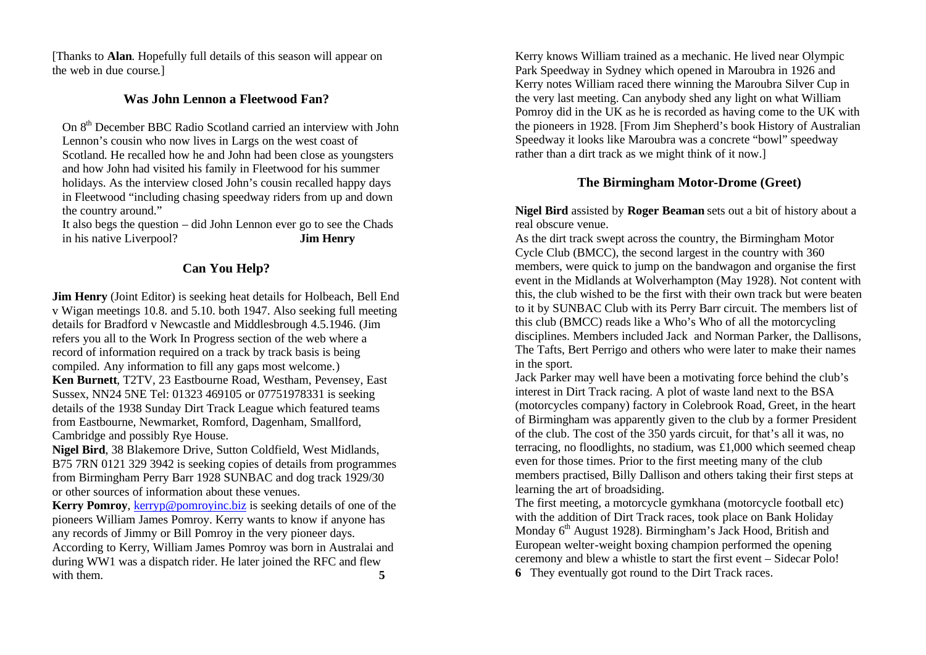[Thanks to **Alan**. Hopefully full details of this season will appear on the web in due course.]

# **Was John Lennon a Fleetwood Fan?**

On 8th December BBC Radio Scotland carried an interview with John Lennon's cousin who now lives in Largs on the west coast of Scotland. He recalled how he and John had been close as youngsters and how John had visited his family in Fleetwood for his summer holidays. As the interview closed John's cousin recalled happy days in Fleetwood "including chasing speedway riders from up and down the country around."

It also begs the question – did John Lennon ever go to see the Chads in his native Liverpool? **Jim Henry** 

# **Can You Help?**

**Jim Henry** (Joint Editor) is seeking heat details for Holbeach, Bell End v Wigan meetings 10.8. and 5.10. both 1947. Also seeking full meeting details for Bradford v Newcastle and Middlesbrough 4.5.1946. (Jim refers you all to the Work In Progress section of the web where a record of information required on a track by track basis is being compiled. Any information to fill any gaps most welcome.) **Ken Burnett**, T2TV, 23 Eastbourne Road, Westham, Pevensey, East Sussex, NN24 5NE Tel: 01323 469105 or 07751978331 is seeking details of the 1938 Sunday Dirt Track League which featured teams from Eastbourne, Newmarket, Romford, Dagenham, Smallford, Cambridge and possibly Rye House.

**Nigel Bird**, 38 Blakemore Drive, Sutton Coldfield, West Midlands, B75 7RN 0121 329 3942 is seeking copies of details from programmes from Birmingham Perry Barr 1928 SUNBAC and dog track 1929/30 or other sources of information about these venues.

**Kerry Pomroy**, kerryp@pomroyinc.biz is seeking details of one of the pioneers William James Pomroy. Kerry wants to know if anyone has any records of Jimmy or Bill Pomroy in the very pioneer days. According to Kerry, William James Pomroy was born in Australai and during WW1 was a dispatch rider. He later joined the RFC and flew with them. 5

Kerry knows William trained as a mechanic. He lived near Olympic Park Speedway in Sydney which opened in Maroubra in 1926 and Kerry notes William raced there winning the Maroubra Silver Cup in the very last meeting. Can anybody shed any light on what William Pomroy did in the UK as he is recorded as having come to the UK with the pioneers in 1928. [From Jim Shepherd's book History of Australian Speedway it looks like Maroubra was a concrete "bowl" speedway rather than a dirt track as we might think of it now.]

# **The Birmingham Motor-Drome (Greet)**

**Nigel Bird** assisted by **Roger Beaman** sets out a bit of history about a real obscure venue.

As the dirt track swept across the country, the Birmingham Motor Cycle Club (BMCC), the second largest in the country with 360 members, were quick to jump on the bandwagon and organise the first event in the Midlands at Wolverhampton (May 1928). Not content with this, the club wished to be the first with their own track but were beaten to it by SUNBAC Club with its Perry Barr circuit. The members list of this club (BMCC) reads like a Who's Who of all the motorcycling disciplines. Members included Jack and Norman Parker, the Dallisons, The Tafts, Bert Perrigo and others who were later to make their names in the sport.

Jack Parker may well have been a motivating force behind the club's interest in Dirt Track racing. A plot of waste land next to the BSA (motorcycles company) factory in Colebrook Road, Greet, in the heart of Birmingham was apparently given to the club by a former President of the club. The cost of the 350 yards circuit, for that's all it was, no terracing, no floodlights, no stadium, was £1,000 which seemed cheap even for those times. Prior to the first meeting many of the club members practised, Billy Dallison and others taking their first steps at learning the art of broadsiding.

The first meeting, a motorcycle gymkhana (motorcycle football etc) with the addition of Dirt Track races, took place on Bank Holiday Monday 6<sup>th</sup> August 1928). Birmingham's Jack Hood, British and European welter-weight boxing champion performed the opening ceremony and blew a whistle to start the first event – Sidecar Polo! **6** They eventually got round to the Dirt Track races.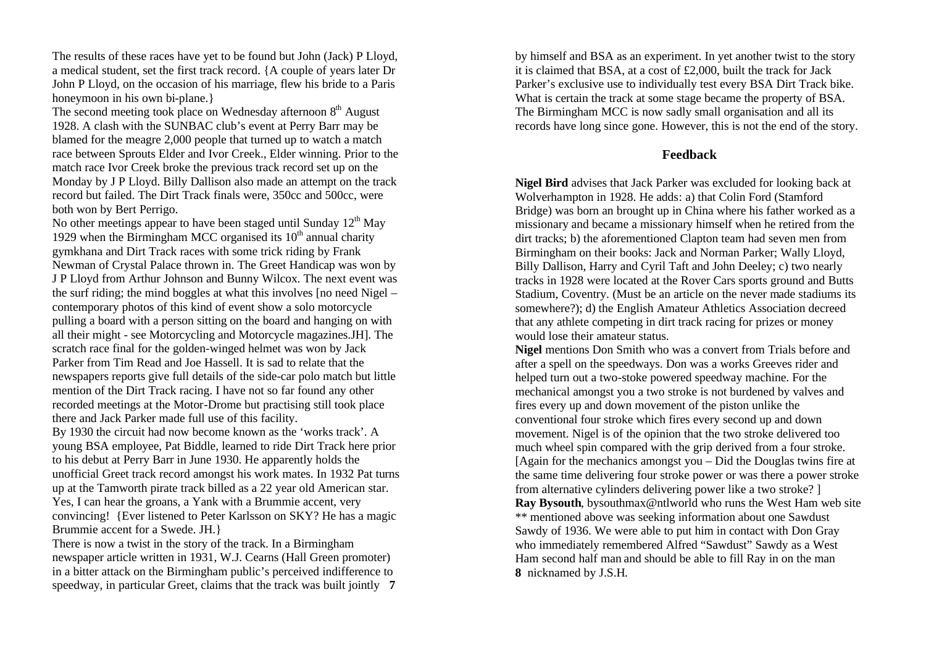The results of these races have yet to be found but John (Jack) P Lloyd, a medical student, set the first track record. {A couple of years later Dr John P Lloyd, on the occasion of his marriage, flew his bride to a Paris honeymoon in his own bi-plane.}

The second meeting took place on Wednesday afternoon  $8<sup>th</sup>$  August 1928. A clash with the SUNBAC club's event at Perry Barr may be blamed for the meagre 2,000 people that turned up to watch a match race between Sprouts Elder and Ivor Creek., Elder winning. Prior to the match race Ivor Creek broke the previous track record set up on the Monday by J P Lloyd. Billy Dallison also made an attempt on the track record but failed. The Dirt Track finals were, 350cc and 500cc, were both won by Bert Perrigo.

No other meetings appear to have been staged until Sunday  $12<sup>th</sup>$  May 1929 when the Birmingham MCC organised its  $10<sup>th</sup>$  annual charity gymkhana and Dirt Track races with some trick riding by Frank Newman of Crystal Palace thrown in. The Greet Handicap was won by J P Lloyd from Arthur Johnson and Bunny Wilcox. The next event was the surf riding; the mind boggles at what this involves [no need Nigel – contemporary photos of this kind of event show a solo motorcycle pulling a board with a person sitting on the board and hanging on with all their might - see Motorcycling and Motorcycle magazines.JH]. The scratch race final for the golden-winged helmet was won by Jack Parker from Tim Read and Joe Hassell. It is sad to relate that the newspapers reports give full details of the side-car polo match but little mention of the Dirt Track racing. I have not so far found any other recorded meetings at the Motor-Drome but practising still took place there and Jack Parker made full use of this facility.

By 1930 the circuit had now become known as the 'works track'. A young BSA employee, Pat Biddle, learned to ride Dirt Track here prior to his debut at Perry Barr in June 1930. He apparently holds the unofficial Greet track record amongst his work mates. In 1932 Pat turns up at the Tamworth pirate track billed as a 22 year old American star. Yes, I can hear the groans, a Yank with a Brummie accent, very convincing! {Ever listened to Peter Karlsson on SKY? He has a magic Brummie accent for a Swede. JH.}

There is now a twist in the story of the track. In a Birmingham newspaper article written in 1931, W.J. Cearns (Hall Green promoter) in a bitter attack on the Birmingham public's perceived indifference to speedway, in particular Greet, claims that the track was built jointly **7** by himself and BSA as an experiment. In yet another twist to the story it is claimed that BSA, at a cost of £2,000, built the track for Jack Parker's exclusive use to individually test every BSA Dirt Track bike. What is certain the track at some stage became the property of BSA. The Birmingham MCC is now sadly small organisation and all its records have long since gone. However, this is not the end of the story.

### **Feedback**

**Nigel Bird** advises that Jack Parker was excluded for looking back at Wolverhampton in 1928. He adds: a) that Colin Ford (Stamford Bridge) was born an brought up in China where his father worked as a missionary and became a missionary himself when he retired from the dirt tracks; b) the aforementioned Clapton team had seven men from Birmingham on their books: Jack and Norman Parker; Wally Lloyd, Billy Dallison, Harry and Cyril Taft and John Deeley; c) two nearly tracks in 1928 were located at the Rover Cars sports ground and Butts Stadium, Coventry. (Must be an article on the never made stadiums its somewhere?); d) the English Amateur Athletics Association decreed that any athlete competing in dirt track racing for prizes or money would lose their amateur status.

**Nigel** mentions Don Smith who was a convert from Trials before and after a spell on the speedways. Don was a works Greeves rider and helped turn out a two-stoke powered speedway machine. For the mechanical amongst you a two stroke is not burdened by valves and fires every up and down movement of the piston unlike the conventional four stroke which fires every second up and down movement. Nigel is of the opinion that the two stroke delivered too much wheel spin compared with the grip derived from a four stroke. [Again for the mechanics amongst you – Did the Douglas twins fire at the same time delivering four stroke power or was there a power stroke from alternative cylinders delivering power like a two stroke? ] **Ray Bysouth**, bysouthmax@ntlworld who runs the West Ham web site \*\* mentioned above was seeking information about one Sawdust Sawdy of 1936. We were able to put him in contact with Don Gray who immediately remembered Alfred "Sawdust" Sawdy as a West Ham second half man and should be able to fill Ray in on the man **8** nicknamed by J.S.H.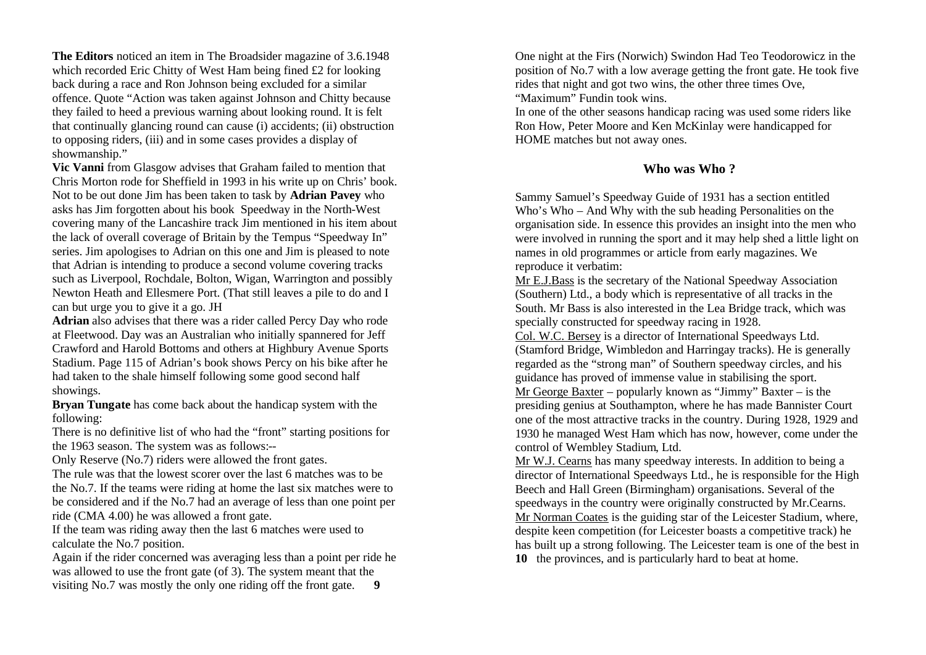**The Editors** noticed an item in The Broadsider magazine of 3.6.1948 which recorded Eric Chitty of West Ham being fined £2 for looking back during a race and Ron Johnson being excluded for a similar offence. Quote "Action was taken against Johnson and Chitty because they failed to heed a previous warning about looking round. It is felt that continually glancing round can cause (i) accidents; (ii) obstruction to opposing riders, (iii) and in some cases provides a display of showmanship."

**Vic Vanni** from Glasgow advises that Graham failed to mention that Chris Morton rode for Sheffield in 1993 in his write up on Chris' book. Not to be out done Jim has been taken to task by **Adrian Pavey** who asks has Jim forgotten about his book Speedway in the North-West covering many of the Lancashire track Jim mentioned in his item about the lack of overall coverage of Britain by the Tempus "Speedway In" series. Jim apologises to Adrian on this one and Jim is pleased to note that Adrian is intending to produce a second volume covering tracks such as Liverpool, Rochdale, Bolton, Wigan, Warrington and possibly Newton Heath and Ellesmere Port. (That still leaves a pile to do and I can but urge you to give it a go. JH

**Adrian** also advises that there was a rider called Percy Day who rode at Fleetwood. Day was an Australian who initially spannered for Jeff Crawford and Harold Bottoms and others at Highbury Avenue Sports Stadium. Page 115 of Adrian's book shows Percy on his bike after he had taken to the shale himself following some good second half showings.

**Bryan Tungate** has come back about the handicap system with the following:

There is no definitive list of who had the "front" starting positions for the 1963 season. The system was as follows:--

Only Reserve (No.7) riders were allowed the front gates.

The rule was that the lowest scorer over the last 6 matches was to be the No.7. If the teams were riding at home the last six matches were to be considered and if the No.7 had an average of less than one point per ride (CMA 4.00) he was allowed a front gate.

If the team was riding away then the last 6 matches were used to calculate the No.7 position.

Again if the rider concerned was averaging less than a point per ride he was allowed to use the front gate (of 3). The system meant that the visiting No.7 was mostly the only one riding off the front gate. **9**

One night at the Firs (Norwich) Swindon Had Teo Teodorowicz in the position of No.7 with a low average getting the front gate. He took five rides that night and got two wins, the other three times Ove, "Maximum" Fundin took wins.

In one of the other seasons handicap racing was used some riders like Ron How, Peter Moore and Ken McKinlay were handicapped for HOME matches but not away ones.

### **Who was Who ?**

Sammy Samuel's Speedway Guide of 1931 has a section entitled Who's Who – And Why with the sub heading Personalities on the organisation side. In essence this provides an insight into the men who were involved in running the sport and it may help shed a little light on names in old programmes or article from early magazines. We reproduce it verbatim:

Mr E.J.Bass is the secretary of the National Speedway Association (Southern) Ltd., a body which is representative of all tracks in the South. Mr Bass is also interested in the Lea Bridge track, which was specially constructed for speedway racing in 1928.

Col. W.C. Bersey is a director of International Speedways Ltd. (Stamford Bridge, Wimbledon and Harringay tracks). He is generally regarded as the "strong man" of Southern speedway circles, and his guidance has proved of immense value in stabilising the sport. Mr George Baxter – popularly known as "Jimmy" Baxter – is the presiding genius at Southampton, where he has made Bannister Court one of the most attractive tracks in the country. During 1928, 1929 and 1930 he managed West Ham which has now, however, come under the control of Wembley Stadium, Ltd.

Mr W.J. Cearns has many speedway interests. In addition to being a director of International Speedways Ltd., he is responsible for the High Beech and Hall Green (Birmingham) organisations. Several of the speedways in the country were originally constructed by Mr.Cearns. Mr Norman Coates is the guiding star of the Leicester Stadium, where, despite keen competition (for Leicester boasts a competitive track) he has built up a strong following. The Leicester team is one of the best in **10** the provinces, and is particularly hard to beat at home.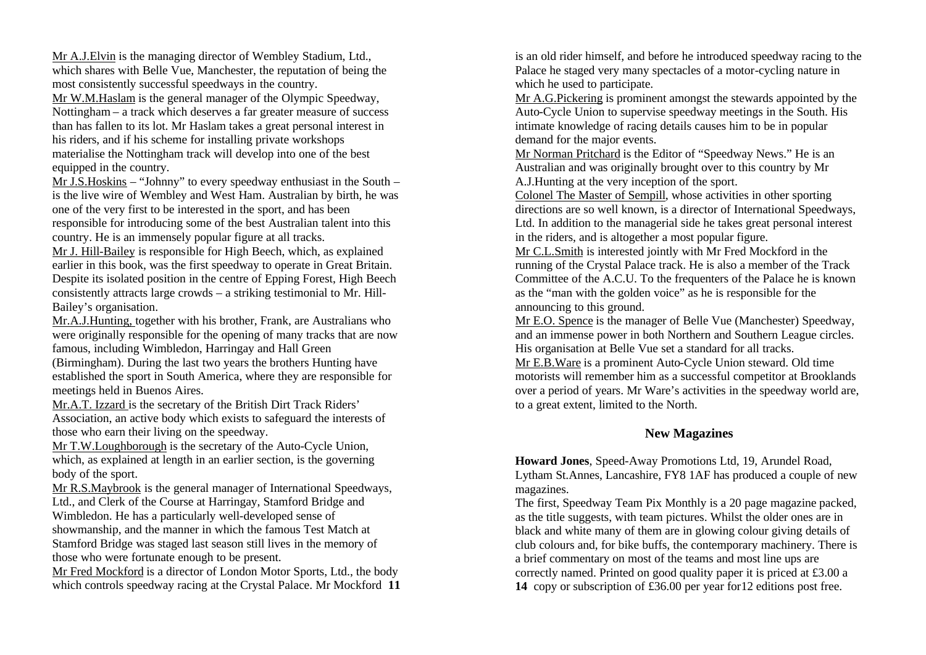Mr A.J.Elvin is the managing director of Wembley Stadium, Ltd., which shares with Belle Vue, Manchester, the reputation of being the most consistently successful speedways in the country.

Mr W.M.Haslam is the general manager of the Olympic Speedway, Nottingham – a track which deserves a far greater measure of success than has fallen to its lot. Mr Haslam takes a great personal interest in his riders, and if his scheme for installing private workshops materialise the Nottingham track will develop into one of the best equipped in the country.

Mr J.S.Hoskins – "Johnny" to every speedway enthusiast in the South – is the live wire of Wembley and West Ham. Australian by birth, he was one of the very first to be interested in the sport, and has been responsible for introducing some of the best Australian talent into this country. He is an immensely popular figure at all tracks.

Mr J. Hill-Bailey is responsible for High Beech, which, as explained earlier in this book, was the first speedway to operate in Great Britain. Despite its isolated position in the centre of Epping Forest, High Beech consistently attracts large crowds – a striking testimonial to Mr. Hill-Bailey's organisation.

Mr.A.J.Hunting, together with his brother, Frank, are Australians who were originally responsible for the opening of many tracks that are now famous, including Wimbledon, Harringay and Hall Green

(Birmingham). During the last two years the brothers Hunting have established the sport in South America, where they are responsible for meetings held in Buenos Aires.

Mr.A.T. Izzard is the secretary of the British Dirt Track Riders' Association, an active body which exists to safeguard the interests of those who earn their living on the speedway.

Mr T.W.Loughborough is the secretary of the Auto-Cycle Union, which, as explained at length in an earlier section, is the governing body of the sport.

Mr R.S.Maybrook is the general manager of International Speedways, Ltd., and Clerk of the Course at Harringay, Stamford Bridge and Wimbledon. He has a particularly well-developed sense of showmanship, and the manner in which the famous Test Match at Stamford Bridge was staged last season still lives in the memory of

those who were fortunate enough to be present.

Mr Fred Mockford is a director of London Motor Sports, Ltd., the body which controls speedway racing at the Crystal Palace. Mr Mockford **11** is an old rider himself, and before he introduced speedway racing to the Palace he staged very many spectacles of a motor-cycling nature in which he used to participate.

Mr A.G.Pickering is prominent amongst the stewards appointed by the Auto-Cycle Union to supervise speedway meetings in the South. His intimate knowledge of racing details causes him to be in popular demand for the major events.

Mr Norman Pritchard is the Editor of "Speedway News." He is an Australian and was originally brought over to this country by Mr A.J.Hunting at the very inception of the sport.

Colonel The Master of Sempill, whose activities in other sporting directions are so well known, is a director of International Speedways, Ltd. In addition to the managerial side he takes great personal interest in the riders, and is altogether a most popular figure.

Mr C.L.Smith is interested jointly with Mr Fred Mockford in the running of the Crystal Palace track. He is also a member of the Track Committee of the A.C.U. To the frequenters of the Palace he is known as the "man with the golden voice" as he is responsible for the announcing to this ground.

Mr E.O. Spence is the manager of Belle Vue (Manchester) Speedway, and an immense power in both Northern and Southern League circles. His organisation at Belle Vue set a standard for all tracks.

Mr E.B.Ware is a prominent Auto-Cycle Union steward. Old time motorists will remember him as a successful competitor at Brooklands over a period of years. Mr Ware's activities in the speedway world are, to a great extent, limited to the North.

### **New Magazines**

**Howard Jones**, Speed-Away Promotions Ltd, 19, Arundel Road, Lytham St.Annes, Lancashire, FY8 1AF has produced a couple of new magazines.

The first, Speedway Team Pix Monthly is a 20 page magazine packed, as the title suggests, with team pictures. Whilst the older ones are in black and white many of them are in glowing colour giving details of club colours and, for bike buffs, the contemporary machinery. There is a brief commentary on most of the teams and most line ups are correctly named. Printed on good quality paper it is priced at £3.00 a **14** copy or subscription of £36.00 per year for12 editions post free.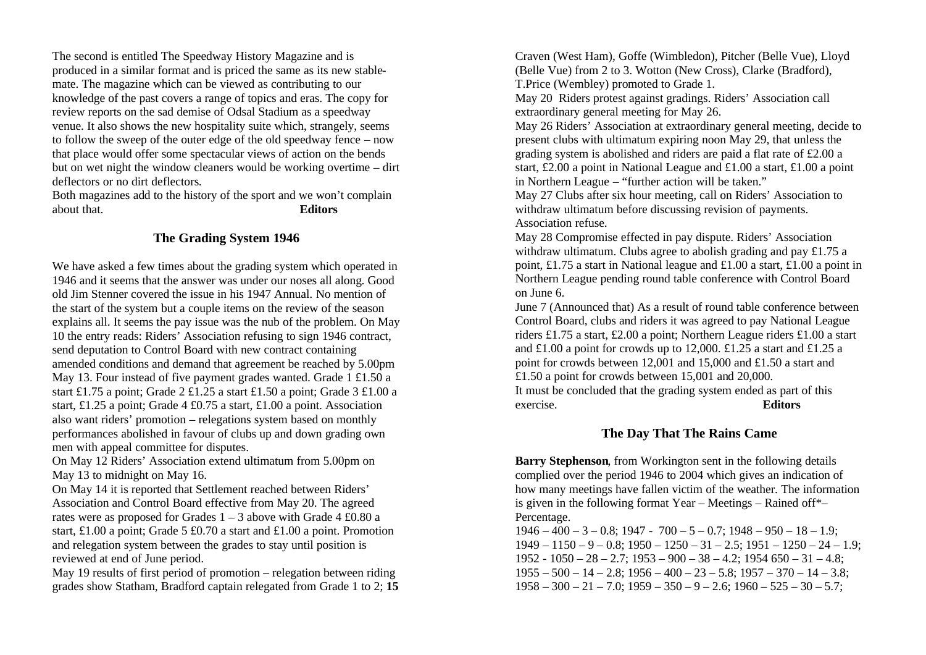The second is entitled The Speedway History Magazine and is produced in a similar format and is priced the same as its new stablemate. The magazine which can be viewed as contributing to our knowledge of the past covers a range of topics and eras. The copy for review reports on the sad demise of Odsal Stadium as a speedway venue. It also shows the new hospitality suite which, strangely, seems to follow the sweep of the outer edge of the old speedway fence – now that place would offer some spectacular views of action on the bends but on wet night the window cleaners would be working overtime – dirt deflectors or no dirt deflectors.

Both magazines add to the history of the sport and we won't complain about that. **Editors**

### **The Grading System 1946**

We have asked a few times about the grading system which operated in 1946 and it seems that the answer was under our noses all along. Good old Jim Stenner covered the issue in his 1947 Annual. No mention of the start of the system but a couple items on the review of the season explains all. It seems the pay issue was the nub of the problem. On May 10 the entry reads: Riders' Association refusing to sign 1946 contract, send deputation to Control Board with new contract containing amended conditions and demand that agreement be reached by 5.00pm May 13. Four instead of five payment grades wanted. Grade 1 £1.50 a start £1.75 a point; Grade 2 £1.25 a start £1.50 a point; Grade 3 £1.00 a start, £1.25 a point; Grade 4 £0.75 a start, £1.00 a point. Association also want riders' promotion – relegations system based on monthly performances abolished in favour of clubs up and down grading own men with appeal committee for disputes.

On May 12 Riders' Association extend ultimatum from 5.00pm on May 13 to midnight on May 16.

On May 14 it is reported that Settlement reached between Riders' Association and Control Board effective from May 20. The agreed rates were as proposed for Grades  $1 - 3$  above with Grade 4 £0.80 a start, £1.00 a point; Grade 5 £0.70 a start and £1.00 a point. Promotion and relegation system between the grades to stay until position is reviewed at end of June period.

May 19 results of first period of promotion – relegation between riding grades show Statham, Bradford captain relegated from Grade 1 to 2; **15** Craven (West Ham), Goffe (Wimbledon), Pitcher (Belle Vue), Lloyd (Belle Vue) from 2 to 3. Wotton (New Cross), Clarke (Bradford), T.Price (Wembley) promoted to Grade 1.

May 20 Riders protest against gradings. Riders' Association call extraordinary general meeting for May 26.

May 26 Riders' Association at extraordinary general meeting, decide to present clubs with ultimatum expiring noon May 29, that unless the grading system is abolished and riders are paid a flat rate of £2.00 a start, £2.00 a point in National League and £1.00 a start, £1.00 a point in Northern League – "further action will be taken."

May 27 Clubs after six hour meeting, call on Riders' Association to withdraw ultimatum before discussing revision of payments. Association refuse.

May 28 Compromise effected in pay dispute. Riders' Association withdraw ultimatum. Clubs agree to abolish grading and pay £1.75 a point, £1.75 a start in National league and £1.00 a start, £1.00 a point in Northern League pending round table conference with Control Board on June 6.

June 7 (Announced that) As a result of round table conference between Control Board, clubs and riders it was agreed to pay National League riders £1.75 a start, £2.00 a point; Northern League riders £1.00 a start and £1.00 a point for crowds up to 12,000. £1.25 a start and £1.25 a point for crowds between 12,001 and 15,000 and £1.50 a start and £1.50 a point for crowds between 15,001 and 20,000. It must be concluded that the grading system ended as part of this exercise. **Editors**

# **The Day That The Rains Came**

**Barry Stephenson**, from Workington sent in the following details complied over the period 1946 to 2004 which gives an indication of how many meetings have fallen victim of the weather. The information is given in the following format Year – Meetings – Rained off\*– Percentage.

 $1946 - 400 - 3 - 0.8$ ;  $1947 - 700 - 5 - 0.7$ ;  $1948 - 950 - 18 - 1.9$ ;  $1949 - 1150 - 9 - 0.8$ ;  $1950 - 1250 - 31 - 2.5$ ;  $1951 - 1250 - 24 - 1.9$ ;  $1952 - 1050 - 28 - 2.7$ ;  $1953 - 900 - 38 - 4.2$ ;  $1954 650 - 31 - 4.8$ ;  $1955 - 500 - 14 - 2.8$ ;  $1956 - 400 - 23 - 5.8$ ;  $1957 - 370 - 14 - 3.8$ ;  $1958 - 300 - 21 - 7.0$ ;  $1959 - 350 - 9 - 2.6$ ;  $1960 - 525 - 30 - 5.7$ ;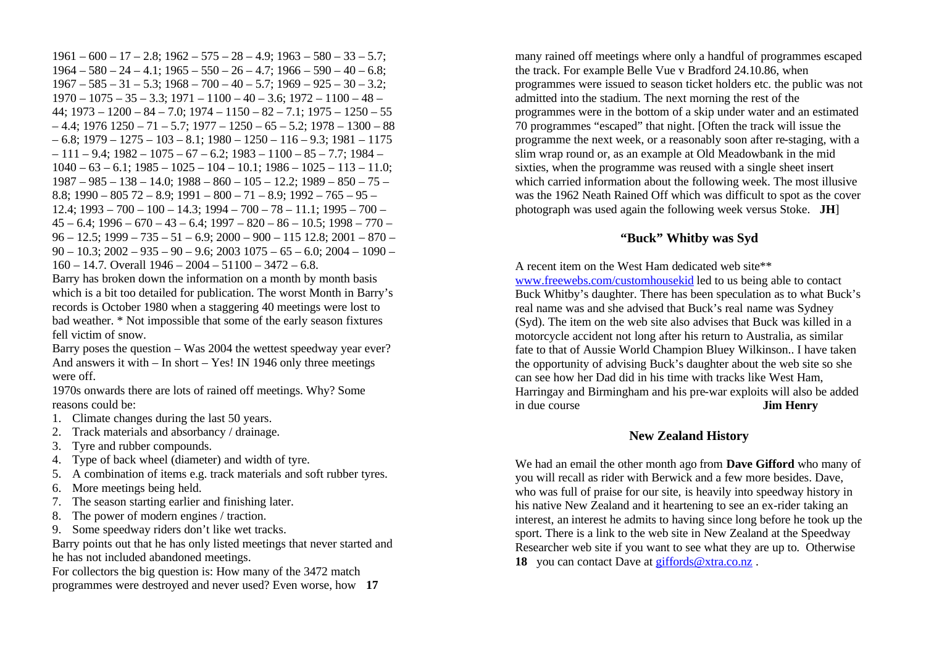$1961 - 600 - 17 - 2.8$ ;  $1962 - 575 - 28 - 4.9$ ;  $1963 - 580 - 33 - 5.7$ ;  $1964 - 580 - 24 - 4.1$ ;  $1965 - 550 - 26 - 4.7$ ;  $1966 - 590 - 40 - 6.8$ ;  $1967 - 585 - 31 - 5.3$ ;  $1968 - 700 - 40 - 5.7$ ;  $1969 - 925 - 30 - 3.2$ ;  $1970 - 1075 - 35 - 3.3$ ;  $1971 - 1100 - 40 - 3.6$ ;  $1972 - 1100 - 48 44: 1973 - 1200 - 84 - 7.0$ ;  $1974 - 1150 - 82 - 7.1$ ;  $1975 - 1250 - 55$  $-4.4$ ; 1976 1250 – 71 – 5.7; 1977 – 1250 – 65 – 5.2; 1978 – 1300 – 88 – 6.8; 1979 – 1275 – 103 – 8.1; 1980 – 1250 – 116 – 9.3; 1981 – 1175 – 111 – 9.4; 1982 – 1075 – 67 – 6.2; 1983 – 1100 – 85 – 7.7; 1984 –  $1040 - 63 - 6.1$ ;  $1985 - 1025 - 104 - 10.1$ ;  $1986 - 1025 - 113 - 11.0$ ;  $1987 - 985 - 138 - 14.0$ ;  $1988 - 860 - 105 - 12.2$ ;  $1989 - 850 - 75 -$ 8.8; 1990 – 805 72 – 8.9; 1991 – 800 – 71 – 8.9; 1992 – 765 – 95 –  $12.4$ ;  $1993 - 700 - 100 - 14.3$ ;  $1994 - 700 - 78 - 11.1$ ;  $1995 - 700 45 - 6.4$ ; 1996 – 670 – 43 – 6.4; 1997 – 820 – 86 – 10.5; 1998 – 770 –  $96 - 12.5$ ;  $1999 - 735 - 51 - 6.9$ ;  $2000 - 900 - 115$  12.8;  $2001 - 870 - 900$  $90 - 10.3$ ;  $2002 - 935 - 90 - 9.6$ ;  $2003 1075 - 65 - 6.0$ ;  $2004 - 1090 -$ 160 – 14.7. Overall 1946 – 2004 – 51100 – 3472 – 6.8.

Barry has broken down the information on a month by month basis which is a bit too detailed for publication. The worst Month in Barry's records is October 1980 when a staggering 40 meetings were lost to bad weather. \* Not impossible that some of the early season fixtures fell victim of snow.

Barry poses the question – Was 2004 the wettest speedway year ever? And answers it with – In short – Yes! IN 1946 only three meetings were off.

1970s onwards there are lots of rained off meetings. Why? Some reasons could be:

- 1. Climate changes during the last 50 years.
- 2. Track materials and absorbancy / drainage.
- 3. Tyre and rubber compounds.
- 4. Type of back wheel (diameter) and width of tyre.
- 5. A combination of items e.g. track materials and soft rubber tyres.
- 6. More meetings being held.
- 7. The season starting earlier and finishing later.
- 8. The power of modern engines / traction.
- 9. Some speedway riders don't like wet tracks.

Barry points out that he has only listed meetings that never started and he has not included abandoned meetings.

For collectors the big question is: How many of the 3472 match

programmes were destroyed and never used? Even worse, how **17**

many rained off meetings where only a handful of programmes escaped the track. For example Belle Vue v Bradford 24.10.86, when programmes were issued to season ticket holders etc. the public was not admitted into the stadium. The next morning the rest of the programmes were in the bottom of a skip under water and an estimated 70 programmes "escaped" that night. [Often the track will issue the programme the next week, or a reasonably soon after re-staging, with a slim wrap round or, as an example at Old Meadowbank in the mid sixties, when the programme was reused with a single sheet insert which carried information about the following week. The most illusive was the 1962 Neath Rained Off which was difficult to spot as the cover photograph was used again the following week versus Stoke. **JH**]

### **"Buck" Whitby was Syd**

A recent item on the West Ham dedicated web site\*\* www.freewebs.com/customhousekid led to us being able to contact Buck Whitby's daughter. There has been speculation as to what Buck's real name was and she advised that Buck's real name was Sydney (Syd). The item on the web site also advises that Buck was killed in a motorcycle accident not long after his return to Australia, as similar fate to that of Aussie World Champion Bluey Wilkinson.. I have taken the opportunity of advising Buck's daughter about the web site so she can see how her Dad did in his time with tracks like West Ham, Harringay and Birmingham and his pre-war exploits will also be added in due course **Jim Henry**

#### **New Zealand History**

We had an email the other month ago from **Dave Gifford** who many of you will recall as rider with Berwick and a few more besides. Dave, who was full of praise for our site, is heavily into speedway history in his native New Zealand and it heartening to see an ex-rider taking an interest, an interest he admits to having since long before he took up the sport. There is a link to the web site in New Zealand at the Speedway Researcher web site if you want to see what they are up to. Otherwise **18** you can contact Dave at giffords@xtra.co.nz .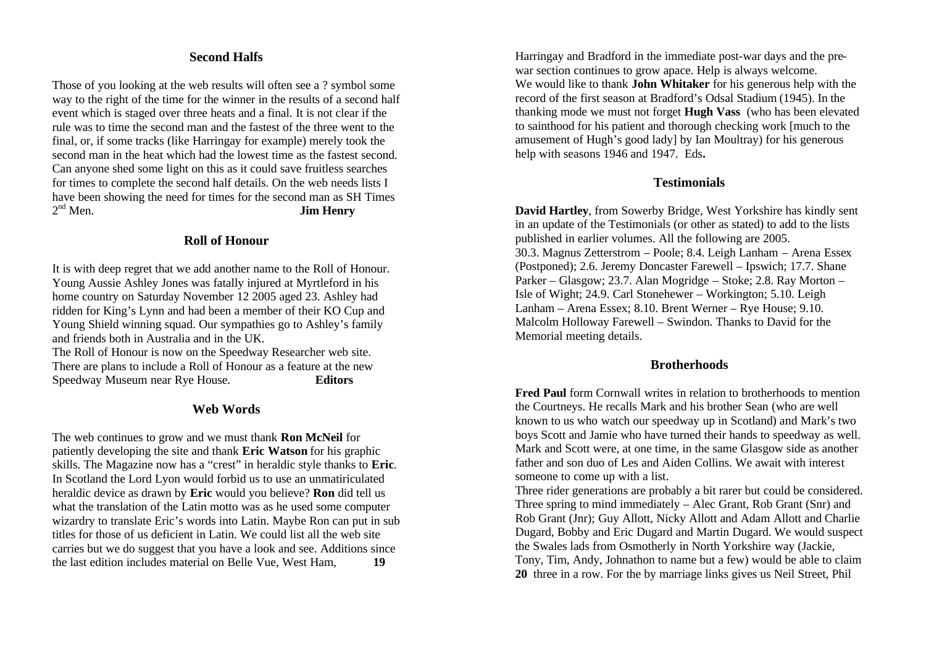# **Second Halfs**

Those of you looking at the web results will often see a ? symbol some way to the right of the time for the winner in the results of a second half event which is staged over three heats and a final. It is not clear if the rule was to time the second man and the fastest of the three went to the final, or, if some tracks (like Harringay for example) merely took the second man in the heat which had the lowest time as the fastest second. Can anyone shed some light on this as it could save fruitless searches for times to complete the second half details. On the web needs lists I have been showing the need for times for the second man as SH Times  $2<sup>nd</sup>$  Men. **Jim Henry** 

#### **Roll of Honour**

It is with deep regret that we add another name to the Roll of Honour. Young Aussie Ashley Jones was fatally injured at Myrtleford in his home country on Saturday November 12 2005 aged 23. Ashley had ridden for King's Lynn and had been a member of their KO Cup and Young Shield winning squad. Our sympathies go to Ashley's family and friends both in Australia and in the UK.

The Roll of Honour is now on the Speedway Researcher web site. There are plans to include a Roll of Honour as a feature at the new Speedway Museum near Rye House. **Editors**

### **Web Words**

The web continues to grow and we must thank **Ron McNeil** for patiently developing the site and thank **Eric Watson** for his graphic skills. The Magazine now has a "crest" in heraldic style thanks to **Eric**. In Scotland the Lord Lyon would forbid us to use an unmatiriculated heraldic device as drawn by **Eric** would you believe? **Ron** did tell us what the translation of the Latin motto was as he used some computer wizardry to translate Eric's words into Latin. Maybe Ron can put in sub titles for those of us deficient in Latin. We could list all the web site carries but we do suggest that you have a look and see. Additions since the last edition includes material on Belle Vue, West Ham, **19**

Harringay and Bradford in the immediate post-war days and the prewar section continues to grow apace. Help is always welcome. We would like to thank **John Whitaker** for his generous help with the record of the first season at Bradford's Odsal Stadium (1945). In the thanking mode we must not forget **Hugh Vass** (who has been elevated to sainthood for his patient and thorough checking work [much to the amusement of Hugh's good lady] by Ian Moultray) for his generous help with seasons 1946 and 1947. Eds**.**

#### **Testimonials**

**David Hartley**, from Sowerby Bridge, West Yorkshire has kindly sent in an update of the Testimonials (or other as stated) to add to the lists published in earlier volumes. All the following are 2005. 30.3. Magnus Zetterstrom – Poole; 8.4. Leigh Lanham – Arena Essex (Postponed); 2.6. Jeremy Doncaster Farewell – Ipswich; 17.7. Shane Parker – Glasgow; 23.7. Alan Mogridge – Stoke; 2.8. Ray Morton – Isle of Wight; 24.9. Carl Stonehewer – Workington; 5.10. Leigh Lanham – Arena Essex; 8.10. Brent Werner – Rye House; 9.10. Malcolm Holloway Farewell – Swindon. Thanks to David for the Memorial meeting details.

#### **Brotherhoods**

**Fred Paul** form Cornwall writes in relation to brotherhoods to mention the Courtneys. He recalls Mark and his brother Sean (who are well known to us who watch our speedway up in Scotland) and Mark's two boys Scott and Jamie who have turned their hands to speedway as well. Mark and Scott were, at one time, in the same Glasgow side as another father and son duo of Les and Aiden Collins. We await with interest someone to come up with a list.

Three rider generations are probably a bit rarer but could be considered. Three spring to mind immediately – Alec Grant, Rob Grant (Snr) and Rob Grant (Jnr); Guy Allott, Nicky Allott and Adam Allott and Charlie Dugard, Bobby and Eric Dugard and Martin Dugard. We would suspect the Swales lads from Osmotherly in North Yorkshire way (Jackie, Tony, Tim, Andy, Johnathon to name but a few) would be able to claim **20** three in a row. For the by marriage links gives us Neil Street, Phil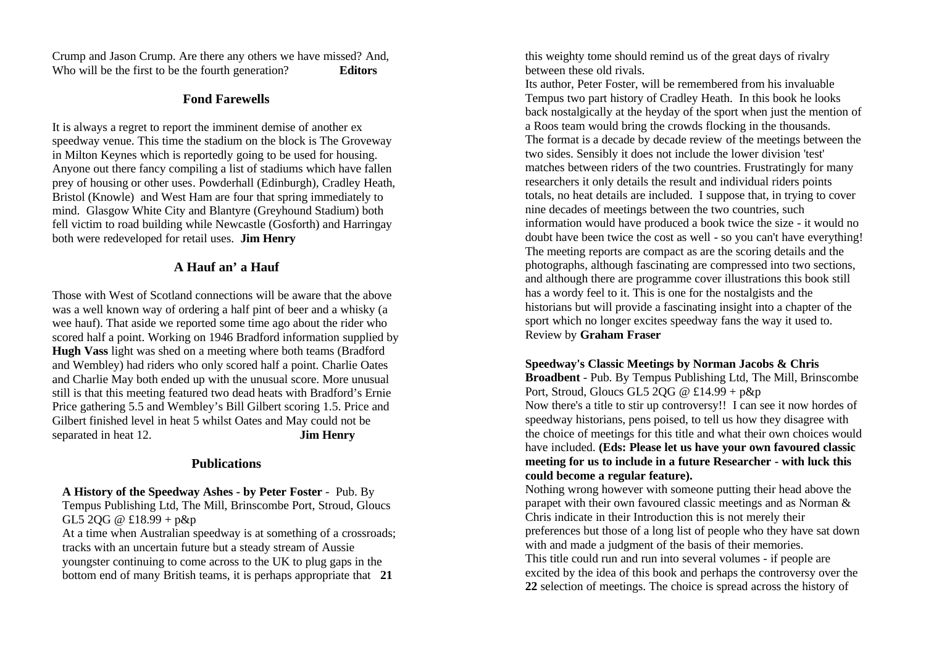Crump and Jason Crump. Are there any others we have missed? And, Who will be the first to be the fourth generation? **Editors**

### **Fond Farewells**

It is always a regret to report the imminent demise of another ex speedway venue. This time the stadium on the block is The Groveway in Milton Keynes which is reportedly going to be used for housing. Anyone out there fancy compiling a list of stadiums which have fallen prey of housing or other uses. Powderhall (Edinburgh), Cradley Heath, Bristol (Knowle) and West Ham are four that spring immediately to mind. Glasgow White City and Blantyre (Greyhound Stadium) both fell victim to road building while Newcastle (Gosforth) and Harringay both were redeveloped for retail uses. **Jim Henry**

# **A Hauf an' a Hauf**

Those with West of Scotland connections will be aware that the above was a well known way of ordering a half pint of beer and a whisky (a wee hauf). That aside we reported some time ago about the rider who scored half a point. Working on 1946 Bradford information supplied by **Hugh Vass** light was shed on a meeting where both teams (Bradford and Wembley) had riders who only scored half a point. Charlie Oates and Charlie May both ended up with the unusual score. More unusual still is that this meeting featured two dead heats with Bradford's Ernie Price gathering 5.5 and Wembley's Bill Gilbert scoring 1.5. Price and Gilbert finished level in heat 5 whilst Oates and May could not be separated in heat 12. **Jim Henry**

# **Publications**

**A History of the Speedway Ashes - by Peter Foster** - Pub. By Tempus Publishing Ltd, The Mill, Brinscombe Port, Stroud, Gloucs  $GL5 2OG @ £18.99 + p&p$ 

At a time when Australian speedway is at something of a crossroads; tracks with an uncertain future but a steady stream of Aussie youngster continuing to come across to the UK to plug gaps in the bottom end of many British teams, it is perhaps appropriate that **21**

this weighty tome should remind us of the great days of rivalry between these old rivals.

Its author, Peter Foster, will be remembered from his invaluable Tempus two part history of Cradley Heath. In this book he looks back nostalgically at the heyday of the sport when just the mention of a Roos team would bring the crowds flocking in the thousands. The format is a decade by decade review of the meetings between the two sides. Sensibly it does not include the lower division 'test' matches between riders of the two countries. Frustratingly for many researchers it only details the result and individual riders points totals, no heat details are included. I suppose that, in trying to cover nine decades of meetings between the two countries, such information would have produced a book twice the size - it would no doubt have been twice the cost as well - so you can't have everything! The meeting reports are compact as are the scoring details and the photographs, although fascinating are compressed into two sections, and although there are programme cover illustrations this book still has a wordy feel to it. This is one for the nostalgists and the historians but will provide a fascinating insight into a chapter of the sport which no longer excites speedway fans the way it used to. Review by **Graham Fraser**

### **Speedway's Classic Meetings by Norman Jacobs & Chris**

**Broadbent** - Pub. By Tempus Publishing Ltd, The Mill, Brinscombe Port, Stroud, Gloucs GL5 2QG @ £14.99 + p&p Now there's a title to stir up controversy!! I can see it now hordes of speedway historians, pens poised, to tell us how they disagree with the choice of meetings for this title and what their own choices would have included. **(Eds: Please let us have your own favoured classic meeting for us to include in a future Researcher - with luck this could become a regular feature).**

Nothing wrong however with someone putting their head above the parapet with their own favoured classic meetings and as Norman & Chris indicate in their Introduction this is not merely their preferences but those of a long list of people who they have sat down with and made a judgment of the basis of their memories. This title could run and run into several volumes - if people are excited by the idea of this book and perhaps the controversy over the **22** selection of meetings. The choice is spread across the history of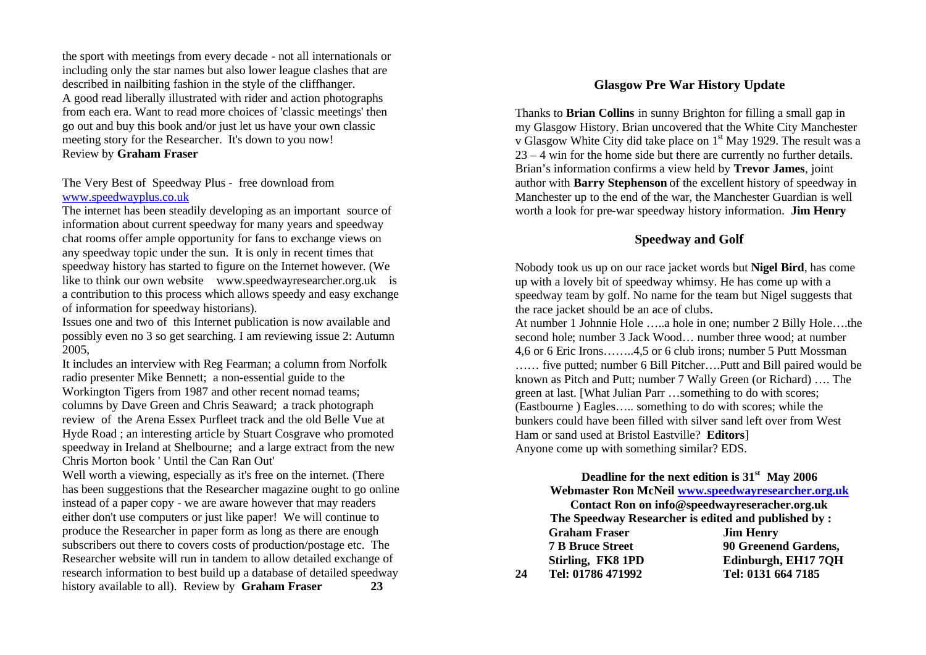the sport with meetings from every decade - not all internationals or including only the star names but also lower league clashes that are described in nailbiting fashion in the style of the cliffhanger. A good read liberally illustrated with rider and action photographs from each era. Want to read more choices of 'classic meetings' then go out and buy this book and/or just let us have your own classic meeting story for the Researcher. It's down to you now! Review by **Graham Fraser**

#### The Very Best of Speedway Plus - free download from www.speedwayplus.co.uk

The internet has been steadily developing as an important source of information about current speedway for many years and speedway chat rooms offer ample opportunity for fans to exchange views on any speedway topic under the sun. It is only in recent times that speedway history has started to figure on the Internet however. (We like to think our own website www.speedwayresearcher.org.uk is a contribution to this process which allows speedy and easy exchange of information for speedway historians).

Issues one and two of this Internet publication is now available and possibly even no 3 so get searching. I am reviewing issue 2: Autumn 2005,

It includes an interview with Reg Fearman; a column from Norfolk radio presenter Mike Bennett; a non-essential guide to the Workington Tigers from 1987 and other recent nomad teams; columns by Dave Green and Chris Seaward; a track photograph review of the Arena Essex Purfleet track and the old Belle Vue at Hyde Road ; an interesting article by Stuart Cosgrave who promoted speedway in Ireland at Shelbourne; and a large extract from the new Chris Morton book ' Until the Can Ran Out'

Well worth a viewing, especially as it's free on the internet. (There has been suggestions that the Researcher magazine ought to go online instead of a paper copy - we are aware however that may readers either don't use computers or just like paper! We will continue to produce the Researcher in paper form as long as there are enough subscribers out there to covers costs of production/postage etc. The Researcher website will run in tandem to allow detailed exchange of research information to best build up a database of detailed speedway history available to all). Review by **Graham Fraser 23**

### **Glasgow Pre War History Update**

Thanks to **Brian Collins** in sunny Brighton for filling a small gap in my Glasgow History. Brian uncovered that the White City Manchester v Glasgow White City did take place on 1st May 1929. The result was a 23 – 4 win for the home side but there are currently no further details. Brian's information confirms a view held by **Trevor James**, joint author with **Barry Stephenson** of the excellent history of speedway in Manchester up to the end of the war, the Manchester Guardian is well worth a look for pre-war speedway history information. **Jim Henry**

### **Speedway and Golf**

Nobody took us up on our race jacket words but **Nigel Bird**, has come up with a lovely bit of speedway whimsy. He has come up with a speedway team by golf. No name for the team but Nigel suggests that the race jacket should be an ace of clubs.

At number 1 Johnnie Hole …..a hole in one; number 2 Billy Hole….the second hole; number 3 Jack Wood… number three wood; at number 4,6 or 6 Eric Irons……..4,5 or 6 club irons; number 5 Putt Mossman …… five putted; number 6 Bill Pitcher….Putt and Bill paired would be known as Pitch and Putt; number 7 Wally Green (or Richard) …. The green at last. [What Julian Parr …something to do with scores; (Eastbourne ) Eagles….. something to do with scores; while the bunkers could have been filled with silver sand left over from West Ham or sand used at Bristol Eastville? **Editors**] Anyone come up with something similar? EDS.

#### **Deadline for the next edition is 31st May 2006 Webmaster Ron McNeil www.speedwayresearcher.org.uk**

**Contact Ron on info@speedwayreseracher.org.uk The Speedway Researcher is edited and published by : Graham Fraser Jim Henry 7 B Bruce Street 90 Greenend Gardens, Stirling, FK8 1PD Edinburgh, EH17 7QH 24 Tel: 01786 471992 Tel: 0131 664 7185**